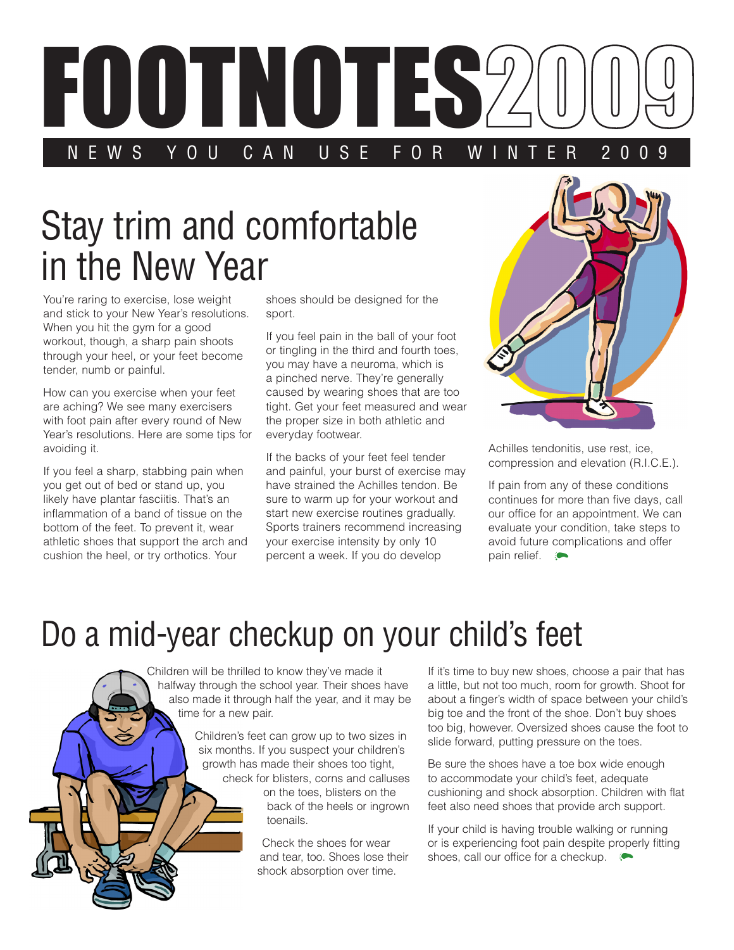

## Stay trim and comfortable in the New Year

You're raring to exercise, lose weight and stick to your New Year's resolutions. When you hit the gym for a good workout, though, a sharp pain shoots through your heel, or your feet become tender, numb or painful.

How can you exercise when your feet are aching? We see many exercisers with foot pain after every round of New Year's resolutions. Here are some tips for avoiding it.

If you feel a sharp, stabbing pain when you get out of bed or stand up, you likely have plantar fasciitis. That's an inflammation of a band of tissue on the bottom of the feet. To prevent it, wear athletic shoes that support the arch and cushion the heel, or try orthotics. Your

shoes should be designed for the sport.

If you feel pain in the ball of your foot or tingling in the third and fourth toes, you may have a neuroma, which is a pinched nerve. They're generally caused by wearing shoes that are too tight. Get your feet measured and wear the proper size in both athletic and everyday footwear.

If the backs of your feet feel tender and painful, your burst of exercise may have strained the Achilles tendon. Be sure to warm up for your workout and start new exercise routines gradually. Sports trainers recommend increasing your exercise intensity by only 10 percent a week. If you do develop



Achilles tendonitis, use rest, ice, compression and elevation (R.I.C.E.).

If pain from any of these conditions continues for more than five days, call our office for an appointment. We can evaluate your condition, take steps to avoid future complications and offer pain relief.

## Do a mid-year checkup on your child's feet

Children will be thrilled to know they've made it halfway through the school year. Their shoes have also made it through half the year, and it may be time for a new pair.

> Children's feet can grow up to two sizes in six months. If you suspect your children's growth has made their shoes too tight, check for blisters, corns and calluses on the toes, blisters on the back of the heels or ingrown toenails.

> > Check the shoes for wear and tear, too. Shoes lose their shock absorption over time.

If it's time to buy new shoes, choose a pair that has a little, but not too much, room for growth. Shoot for about a finger's width of space between your child's big toe and the front of the shoe. Don't buy shoes too big, however. Oversized shoes cause the foot to slide forward, putting pressure on the toes.

Be sure the shoes have a toe box wide enough to accommodate your child's feet, adequate cushioning and shock absorption. Children with flat feet also need shoes that provide arch support.

If your child is having trouble walking or running or is experiencing foot pain despite properly fitting shoes, call our office for a checkup.  $\bullet$